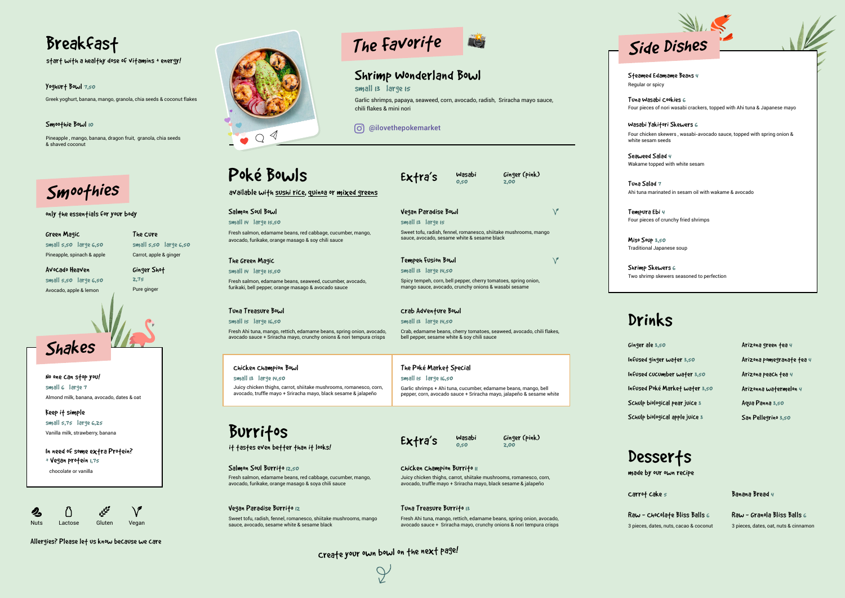- No one can stop you! small 6 large 7 Almond milk, banana, avocado, dates & oat
- Keep it simple small 5,75 large 6,25 Vanilla milk, strawberry, banana
- In need of some extra Protein?  $+$  Vegan profein  $1.75$

sauce, avocado, sesame white & sesame black

# The Favorite



| Green Magic                |  |  |  |  |
|----------------------------|--|--|--|--|
| small $5,50$ large $6,50$  |  |  |  |  |
| Pineapple, spinach & apple |  |  |  |  |

Ginger Shot 2,75 Pure ginger

Avocado Heaven small 5,50 large 6,50 Avocado, apple & lemon

The Cure

small 5,50 large 6,50 Carrot, apple & ginger

chocolate or vanilla

Tuna Salad 7 Ahi tuna marinated in sesam oil with wakame & avocado

Miso Soup 3,50 Traditional Japanese soup

Wasabi Yakitori Skewers 6 Four chicken skewers , wasabi-avocado sauce, topped with spring onion & white sesam seeds

Tempura Ebi 4 Four pieces of crunchy fried shrimps

Shrimp Skewers 6 Two shrimp skewers seasoned to perfection

> Arizona green tea 4 Arizona pomegranate tea 4 Arizona peach fea 4 Arizonna watermelon 4 Aqua Panna 3,50 San Pellegrino 3,50

## Desserts

Tuna Wasabi Cookies 6 Four pieces of nori wasabi crackers, topped with Ahi tuna & Japanese mayo

| Poké Bowls                                                                                                                                   | Extra's                                                                                                                                 | Wasabi<br>0,50 | Ginger (pink)<br>2,00                                                 |  |
|----------------------------------------------------------------------------------------------------------------------------------------------|-----------------------------------------------------------------------------------------------------------------------------------------|----------------|-----------------------------------------------------------------------|--|
| available with sushi rice, quinoa or mixed greens                                                                                            |                                                                                                                                         |                |                                                                       |  |
| Salmon Soul Bowl                                                                                                                             | $\sqrt{}$<br>Vegan Paradise Bowl                                                                                                        |                |                                                                       |  |
| small 14 large 15,50                                                                                                                         | small is large is                                                                                                                       |                |                                                                       |  |
| Fresh salmon, edamame beans, red cabbage, cucumber, mango,<br>avocado, furikake, orange masago & soy chili sauce                             | Sweet tofu, radish, fennel, romanesco, shiitake mushrooms, mango<br>sauce, avocado, sesame white & sesame black                         |                |                                                                       |  |
| The Green Magic                                                                                                                              | $\sqrt{}$<br>Tempeh Fusion Bowl                                                                                                         |                |                                                                       |  |
| $small$ $14$ $large$ $15,50$                                                                                                                 | small $\overline{13}$ large $\overline{14,50}$                                                                                          |                |                                                                       |  |
| Fresh salmon, edamame beans, seaweed, cucumber, avocado,<br>furikaki, bell pepper, orange masago & avocado sauce                             | Spicy tempeh, corn, bell pepper, cherry tomatoes, spring onion,<br>mango sauce, avocado, crunchy onions & wasabi sesame                 |                |                                                                       |  |
| Tuna Treasure Bowl                                                                                                                           | Crab Adventure Bowl                                                                                                                     |                |                                                                       |  |
| small is large 16,50                                                                                                                         | small 13 large 14,50                                                                                                                    |                |                                                                       |  |
| Fresh Ahi tuna, mango, rettich, edamame beans, spring onion, avocado,<br>avocado sauce + Sriracha mayo, crunchy onions & nori tempura crisps | bell pepper, sesame white & soy chili sauce                                                                                             |                | Crab, edamame beans, cherry tomatoes, seaweed, avocado, chili flakes, |  |
| Chicken Champion Bowl                                                                                                                        | The Poké Market Special                                                                                                                 |                |                                                                       |  |
| $small$ is large $14,50$                                                                                                                     | small $is$ large $is, so$                                                                                                               |                |                                                                       |  |
| Juicy chicken thighs, carrot, shiitake mushrooms, romanesco, corn,<br>avocado, truffle mayo + Sriracha mayo, black sesame & jalapeño         | Garlic shrimps + Ahi tuna, cucumber, edamame beans, mango, bell<br>pepper, corn, avocado sauce + Sriracha mayo, jalapeño & sesame white |                |                                                                       |  |
| Burrifos                                                                                                                                     |                                                                                                                                         |                |                                                                       |  |
|                                                                                                                                              | Extra's                                                                                                                                 | Wasabi         | Ginger (pink)                                                         |  |
| it tastes even better than it looks!                                                                                                         |                                                                                                                                         | 0.50           | 2,00                                                                  |  |
| Salmon Soul Burrito 12,50                                                                                                                    | Chicken Champion Burrito II                                                                                                             |                |                                                                       |  |
| Fresh salmon, edamame beans, red cabbage, cucumber, mango,<br>avocado, furikake, orange masago & soya chili sauce                            | Juicy chicken thighs, carrot, shiitake mushrooms, romanesco, corn,<br>avocado, truffle mayo + Sriracha mayo, black sesame & jalapeño    |                |                                                                       |  |
| Vegan Paradise Burrito 12                                                                                                                    | Tuna Treasure Burrito is                                                                                                                |                |                                                                       |  |
| Sweet tofu, radish, fennel, romanesco, shiitake mushrooms, mango                                                                             | Fresh Ahi tuna, mango, rettich, edamame beans, spring onion, avocado,                                                                   |                |                                                                       |  |

Steamed Edamame Beans 4 Regular or spicy

Seaweed Salad 4 Wakame topped with white sesam

#### Smoothie Bowl 10

Pineapple , mango, banana, dragon fruit, granola, chia seeds & shaved coconut

> Raw - Granola Bliss Balls 6 3 pieces, dates, oat, nuts & cinnamon

Carrot cake 5

Yoghurt Bowl 7,50

Greek yoghurt, banana, mango, granola, chia seeds & coconut flakes

avocado sauce + Sriracha mayo, crunchy onions & nori tempura crisps

Raw - Chocolate Bliss Balls 6 3 pieces, dates, nuts, cacao & coconut Banana Bread 4

start with a healthy dose of vitamins + energy!

only the essentials for your body

made by our own recipe

# Breakfast







Ginger ale 3,50 Infused ginger water 3,50 Infused cucumber water 3,50 Infused Poké Market water 3,50 Schulp biological pear juice 3 Schulp biological apple juice 3

## Drinks

#### Shrimp Wonderland Bowl

#### small is large is

Garlic shrimps, papaya, seaweed, corn, avocado, radish, Sriracha mayo sauce, chili flakes & mini nori

#### @ilovethepokemarket

Create your own bowl on the next page!

 $\varphi$ 

Allergies? Please let us know because we care